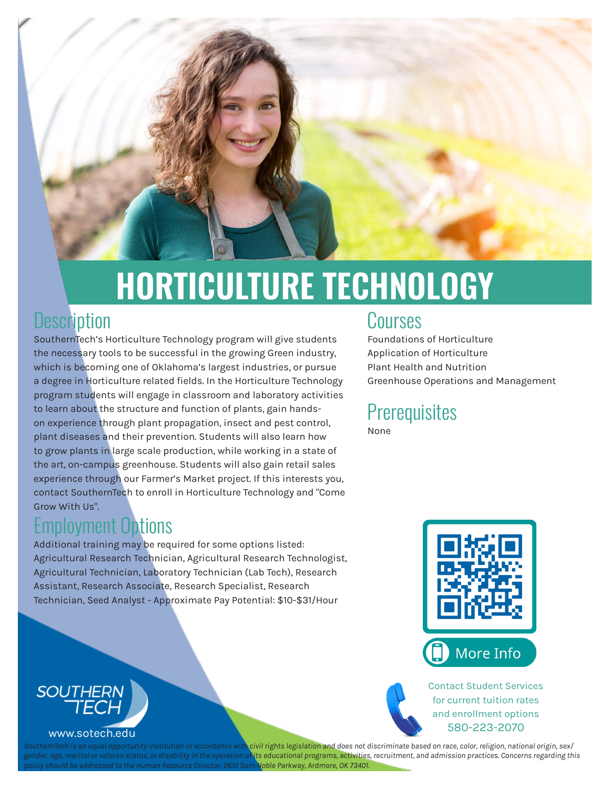

# **HORTICULTURE TECHNOLOGY**

#### **Description**

SouthernTech's Horticulture Technology program will give students the necessary tools to be successful in the growing Green industry, which is becoming one of Oklahoma's largest industries, or pursue a degree in Horticulture related fields. In the Horticulture Technology program students will engage in classroom and laboratory activities to learn about the structure and function of plants, gain handson experience through plant propagation, insect and pest control, plant diseases and their prevention. Students will also learn how to grow plants in large scale production, while working in a state of the art, on-campus greenhouse. Students will also gain retail sales experience through our Farmer's Market project. If this interests you, contact SouthernTech to enroll in Horticulture Technology and "Come Grow With Us".

# Employment Options

Additional training may be required for some options listed: Agricultural Research Technician, Agricultural Research Technologist, Agricultural Technician, Laboratory Technician (Lab Tech), Research Assistant, Research Associate, Research Specialist, Research Technician, Seed Analyst - Approximate Pay Potential: \$10-\$31/Hour

#### Courses

Foundations of Horticulture Application of Horticulture Plant Health and Nutrition Greenhouse Operations and Management

#### **Prerequisites** None



Contact Student Services for current tuition rates and enrollment options 580-223-2070



ual opportunity institution in accordance with civil rights legislation and does not discriminate based on race, color, religion, national origin, sex/ *genderan status, or disability in the operation of its educational programs, activities, recruitment, and admission practices. Concerns regarding this <i>or veteran status, or disability in the operation of its educational policy should be addressed to the Human Resource Director, 2610 Sam Noble Parkway, Ardmore, OK 73401.*